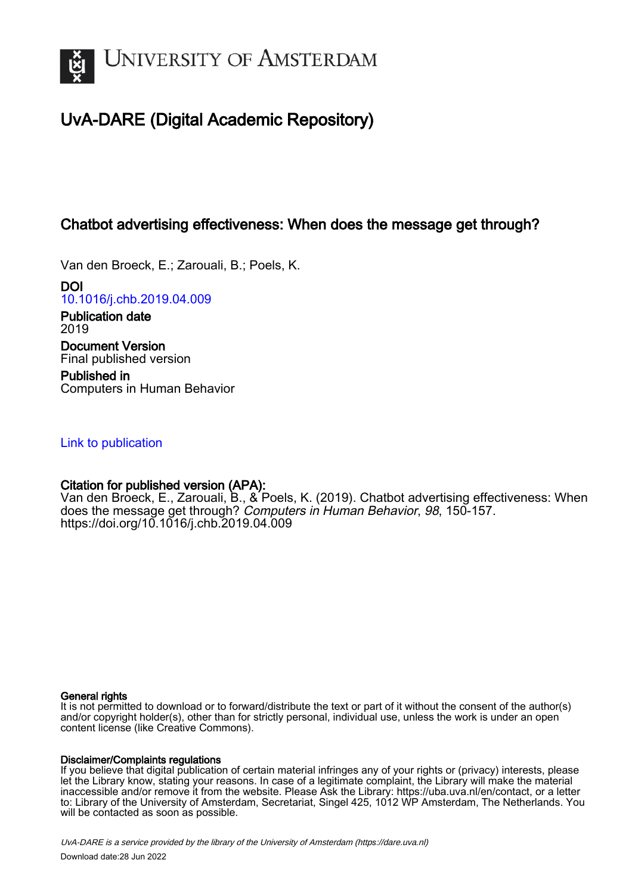

# UvA-DARE (Digital Academic Repository)

# Chatbot advertising effectiveness: When does the message get through?

Van den Broeck, E.; Zarouali, B.; Poels, K.

DOI [10.1016/j.chb.2019.04.009](https://doi.org/10.1016/j.chb.2019.04.009)

Publication date 2019 Document Version Final published version

Published in Computers in Human Behavior

# [Link to publication](https://dare.uva.nl/personal/pure/en/publications/chatbot-advertising-effectiveness-when-does-the-message-get-through(6c58ef31-508d-4eaa-9031-171b046a4aeb).html)

# Citation for published version (APA):

Van den Broeck, E., Zarouali, B., & Poels, K. (2019). Chatbot advertising effectiveness: When does the message get through? Computers in Human Behavior, 98, 150-157. <https://doi.org/10.1016/j.chb.2019.04.009>

# General rights

It is not permitted to download or to forward/distribute the text or part of it without the consent of the author(s) and/or copyright holder(s), other than for strictly personal, individual use, unless the work is under an open content license (like Creative Commons).

# Disclaimer/Complaints regulations

If you believe that digital publication of certain material infringes any of your rights or (privacy) interests, please let the Library know, stating your reasons. In case of a legitimate complaint, the Library will make the material inaccessible and/or remove it from the website. Please Ask the Library: https://uba.uva.nl/en/contact, or a letter to: Library of the University of Amsterdam, Secretariat, Singel 425, 1012 WP Amsterdam, The Netherlands. You will be contacted as soon as possible.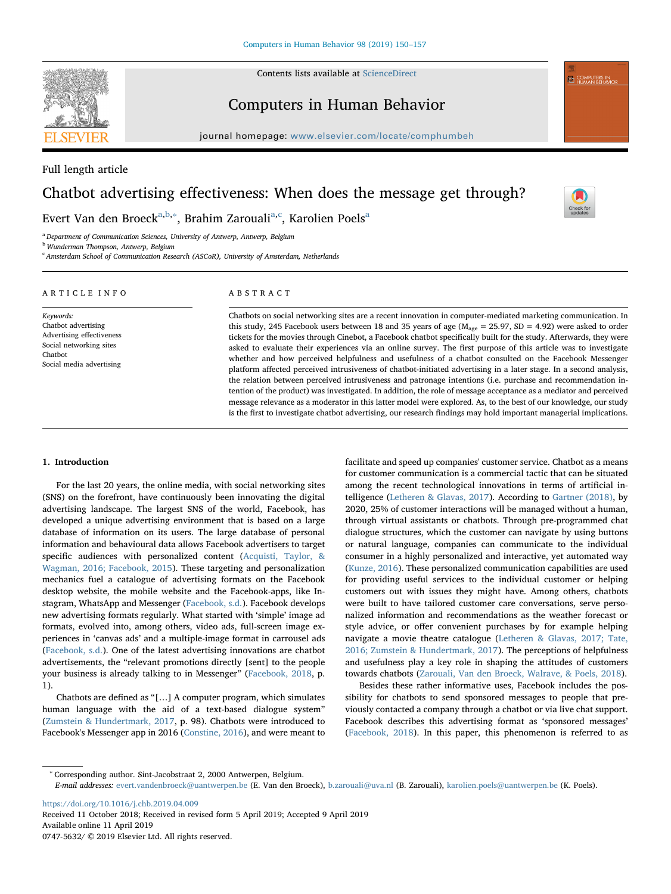**SEVIER** 

Contents lists available at [ScienceDirect](http://www.sciencedirect.com/science/journal/07475632)

Computers in Human Behavior

journal homepage: [www.elsevier.com/locate/comphumbeh](https://www.elsevier.com/locate/comphumbeh)

Full length article

# Chatbot advertising effectiveness: When does the message get through?

Evert V[a](#page-1-0)n den Broeck<sup>a,[b,](#page-1-1)[∗](#page-1-2)</sup>, Brahim Zarouali<sup>[a,](#page-1-0)[c](#page-1-3)</sup>, Karolien Poels<sup>a</sup>

<span id="page-1-0"></span><sup>a</sup> Department of Communication Sciences, University of Antwerp, Antwerp, Belgium

<span id="page-1-1"></span>**b Wunderman Thompson, Antwerp, Belgium** 

<span id="page-1-3"></span><sup>c</sup> Amsterdam School of Communication Research (ASCoR), University of Amsterdam, Netherlands

| ARTICLE INFO                                                                                                                    | ABSTRACT                                                                                                                                                                                                                                                                                                                                                                                                                                                                                                                                                                                                                                                                                                                                                                                                                                                                                                                                                                                                                                                                |  |  |  |
|---------------------------------------------------------------------------------------------------------------------------------|-------------------------------------------------------------------------------------------------------------------------------------------------------------------------------------------------------------------------------------------------------------------------------------------------------------------------------------------------------------------------------------------------------------------------------------------------------------------------------------------------------------------------------------------------------------------------------------------------------------------------------------------------------------------------------------------------------------------------------------------------------------------------------------------------------------------------------------------------------------------------------------------------------------------------------------------------------------------------------------------------------------------------------------------------------------------------|--|--|--|
| Keywords:<br>Chatbot advertising<br>Advertising effectiveness<br>Social networking sites<br>Chatbot<br>Social media advertising | Chatbots on social networking sites are a recent innovation in computer-mediated marketing communication. In<br>this study, 245 Facebook users between 18 and 35 years of age ( $M_{\text{ave}}$ = 25.97, SD = 4.92) were asked to order<br>tickets for the movies through Cinebot, a Facebook chatbot specifically built for the study. Afterwards, they were<br>asked to evaluate their experiences via an online survey. The first purpose of this article was to investigate<br>whether and how perceived helpfulness and usefulness of a chatbot consulted on the Facebook Messenger<br>platform affected perceived intrusiveness of chatbot-initiated advertising in a later stage. In a second analysis,<br>the relation between perceived intrusiveness and patronage intentions (i.e. purchase and recommendation in-<br>tention of the product) was investigated. In addition, the role of message acceptance as a mediator and perceived<br>message relevance as a moderator in this latter model were explored. As, to the best of our knowledge, our study |  |  |  |

# 1. Introduction

For the last 20 years, the online media, with social networking sites (SNS) on the forefront, have continuously been innovating the digital advertising landscape. The largest SNS of the world, Facebook, has developed a unique advertising environment that is based on a large database of information on its users. The large database of personal information and behavioural data allows Facebook advertisers to target specific audiences with personalized content [\(Acquisti, Taylor, &](#page-7-0) [Wagman, 2016; Facebook, 2015\)](#page-7-0). These targeting and personalization mechanics fuel a catalogue of advertising formats on the Facebook desktop website, the mobile website and the Facebook-apps, like Instagram, WhatsApp and Messenger [\(Facebook, s.d.](#page-7-1)). Facebook develops new advertising formats regularly. What started with 'simple' image ad formats, evolved into, among others, video ads, full-screen image experiences in 'canvas ads' and a multiple-image format in carrousel ads ([Facebook, s.d.](#page-7-1)). One of the latest advertising innovations are chatbot advertisements, the "relevant promotions directly [sent] to the people your business is already talking to in Messenger" [\(Facebook, 2018,](#page-7-2) p. 1).

Chatbots are defined as "[…] A computer program, which simulates human language with the aid of a text-based dialogue system" ([Zumstein & Hundertmark, 2017,](#page-8-0) p. 98). Chatbots were introduced to Facebook's Messenger app in 2016 [\(Constine, 2016](#page-7-3)), and were meant to

facilitate and speed up companies' customer service. Chatbot as a means for customer communication is a commercial tactic that can be situated among the recent technological innovations in terms of artificial intelligence [\(Letheren & Glavas, 2017](#page-7-4)). According to [Gartner \(2018\)](#page-7-5), by 2020, 25% of customer interactions will be managed without a human, through virtual assistants or chatbots. Through pre-programmed chat dialogue structures, which the customer can navigate by using buttons or natural language, companies can communicate to the individual consumer in a highly personalized and interactive, yet automated way ([Kunze, 2016\)](#page-7-6). These personalized communication capabilities are used for providing useful services to the individual customer or helping customers out with issues they might have. Among others, chatbots were built to have tailored customer care conversations, serve personalized information and recommendations as the weather forecast or style advice, or offer convenient purchases by for example helping navigate a movie theatre catalogue ([Letheren & Glavas, 2017; Tate,](#page-7-4) [2016; Zumstein & Hundertmark, 2017](#page-7-4)). The perceptions of helpfulness and usefulness play a key role in shaping the attitudes of customers towards chatbots ([Zarouali, Van den Broeck, Walrave, & Poels, 2018\)](#page-8-1).

is the first to investigate chatbot advertising, our research findings may hold important managerial implications.

Besides these rather informative uses, Facebook includes the possibility for chatbots to send sponsored messages to people that previously contacted a company through a chatbot or via live chat support. Facebook describes this advertising format as 'sponsored messages' ([Facebook, 2018](#page-7-2)). In this paper, this phenomenon is referred to as

<span id="page-1-2"></span><sup>∗</sup> Corresponding author. Sint-Jacobstraat 2, 2000 Antwerpen, Belgium.

E-mail addresses: [evert.vandenbroeck@uantwerpen.be](mailto:evert.vandenbroeck@uantwerpen.be) (E. Van den Broeck), [b.zarouali@uva.nl](mailto:b.zarouali@uva.nl) (B. Zarouali), [karolien.poels@uantwerpen.be](mailto:karolien.poels@uantwerpen.be) (K. Poels).

<https://doi.org/10.1016/j.chb.2019.04.009> Received 11 October 2018; Received in revised form 5 April 2019; Accepted 9 April 2019 Available online 11 April 2019 0747-5632/ © 2019 Elsevier Ltd. All rights reserved.



**EL COMPUTERS IN**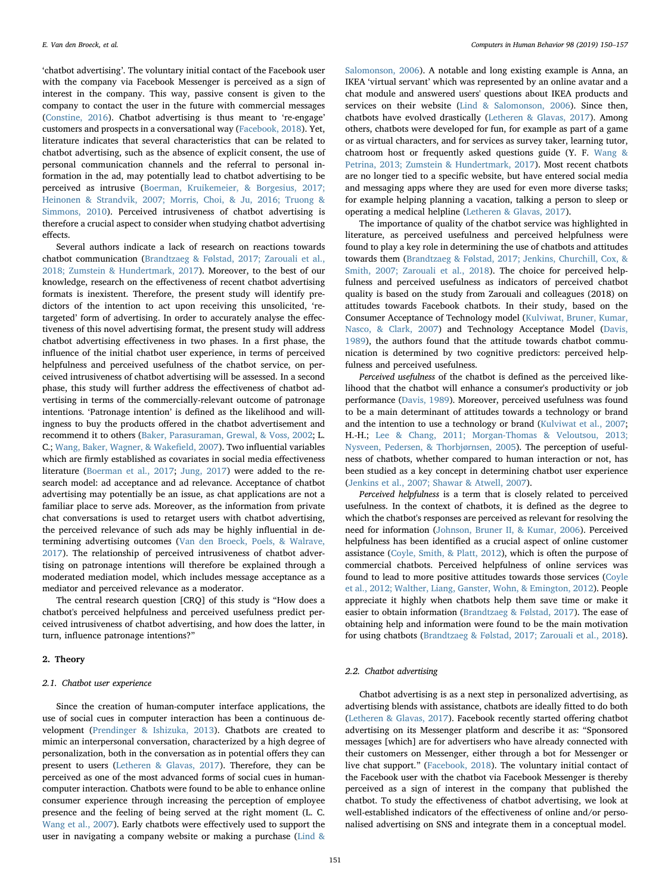'chatbot advertising'. The voluntary initial contact of the Facebook user with the company via Facebook Messenger is perceived as a sign of interest in the company. This way, passive consent is given to the company to contact the user in the future with commercial messages ([Constine, 2016](#page-7-3)). Chatbot advertising is thus meant to 're-engage' customers and prospects in a conversational way [\(Facebook, 2018\)](#page-7-2). Yet, literature indicates that several characteristics that can be related to chatbot advertising, such as the absence of explicit consent, the use of personal communication channels and the referral to personal information in the ad, may potentially lead to chatbot advertising to be perceived as intrusive ([Boerman, Kruikemeier, & Borgesius, 2017;](#page-7-7) [Heinonen & Strandvik, 2007; Morris, Choi, & Ju, 2016; Truong &](#page-7-7) [Simmons, 2010\)](#page-7-7). Perceived intrusiveness of chatbot advertising is therefore a crucial aspect to consider when studying chatbot advertising effects.

Several authors indicate a lack of research on reactions towards chatbot communication ([Brandtzaeg & Følstad, 2017; Zarouali et al.,](#page-7-8) [2018; Zumstein & Hundertmark, 2017](#page-7-8)). Moreover, to the best of our knowledge, research on the effectiveness of recent chatbot advertising formats is inexistent. Therefore, the present study will identify predictors of the intention to act upon receiving this unsolicited, 'retargeted' form of advertising. In order to accurately analyse the effectiveness of this novel advertising format, the present study will address chatbot advertising effectiveness in two phases. In a first phase, the influence of the initial chatbot user experience, in terms of perceived helpfulness and perceived usefulness of the chatbot service, on perceived intrusiveness of chatbot advertising will be assessed. In a second phase, this study will further address the effectiveness of chatbot advertising in terms of the commercially-relevant outcome of patronage intentions. 'Patronage intention' is defined as the likelihood and willingness to buy the products offered in the chatbot advertisement and recommend it to others ([Baker, Parasuraman, Grewal, & Voss, 2002;](#page-7-9) L. C.; [Wang, Baker, Wagner, & Wake](#page-8-2)field, 2007). Two influential variables which are firmly established as covariates in social media effectiveness literature [\(Boerman et al., 2017;](#page-7-7) [Jung, 2017](#page-7-10)) were added to the research model: ad acceptance and ad relevance. Acceptance of chatbot advertising may potentially be an issue, as chat applications are not a familiar place to serve ads. Moreover, as the information from private chat conversations is used to retarget users with chatbot advertising, the perceived relevance of such ads may be highly influential in determining advertising outcomes [\(Van den Broeck, Poels, & Walrave,](#page-8-3) [2017\)](#page-8-3). The relationship of perceived intrusiveness of chatbot advertising on patronage intentions will therefore be explained through a moderated mediation model, which includes message acceptance as a mediator and perceived relevance as a moderator.

The central research question [CRQ] of this study is "How does a chatbot's perceived helpfulness and perceived usefulness predict perceived intrusiveness of chatbot advertising, and how does the latter, in turn, influence patronage intentions?"

#### 2. Theory

### 2.1. Chatbot user experience

Since the creation of human-computer interface applications, the use of social cues in computer interaction has been a continuous development [\(Prendinger & Ishizuka, 2013](#page-8-4)). Chatbots are created to mimic an interpersonal conversation, characterized by a high degree of personalization, both in the conversation as in potential offers they can present to users [\(Letheren & Glavas, 2017](#page-7-4)). Therefore, they can be perceived as one of the most advanced forms of social cues in humancomputer interaction. Chatbots were found to be able to enhance online consumer experience through increasing the perception of employee presence and the feeling of being served at the right moment (L. C. [Wang et al., 2007\)](#page-8-2). Early chatbots were effectively used to support the user in navigating a company website or making a purchase [\(Lind &](#page-7-11)

[Salomonson, 2006](#page-7-11)). A notable and long existing example is Anna, an IKEA 'virtual servant' which was represented by an online avatar and a chat module and answered users' questions about IKEA products and services on their website [\(Lind & Salomonson, 2006](#page-7-11)). Since then, chatbots have evolved drastically ([Letheren & Glavas, 2017\)](#page-7-4). Among others, chatbots were developed for fun, for example as part of a game or as virtual characters, and for services as survey taker, learning tutor, chatroom host or frequently asked questions guide (Y. F. [Wang &](#page-8-5) [Petrina, 2013; Zumstein & Hundertmark, 2017\)](#page-8-5). Most recent chatbots are no longer tied to a specific website, but have entered social media and messaging apps where they are used for even more diverse tasks; for example helping planning a vacation, talking a person to sleep or operating a medical helpline [\(Letheren & Glavas, 2017](#page-7-4)).

The importance of quality of the chatbot service was highlighted in literature, as perceived usefulness and perceived helpfulness were found to play a key role in determining the use of chatbots and attitudes towards them [\(Brandtzaeg & Følstad, 2017; Jenkins, Churchill, Cox, &](#page-7-8) [Smith, 2007; Zarouali et al., 2018](#page-7-8)). The choice for perceived helpfulness and perceived usefulness as indicators of perceived chatbot quality is based on the study from Zarouali and colleagues (2018) on attitudes towards Facebook chatbots. In their study, based on the Consumer Acceptance of Technology model ([Kulviwat, Bruner, Kumar,](#page-7-12) [Nasco, & Clark, 2007](#page-7-12)) and Technology Acceptance Model [\(Davis,](#page-7-13) [1989\)](#page-7-13), the authors found that the attitude towards chatbot communication is determined by two cognitive predictors: perceived helpfulness and perceived usefulness.

Perceived usefulness of the chatbot is defined as the perceived likelihood that the chatbot will enhance a consumer's productivity or job performance ([Davis, 1989](#page-7-13)). Moreover, perceived usefulness was found to be a main determinant of attitudes towards a technology or brand and the intention to use a technology or brand [\(Kulviwat et al., 2007](#page-7-12); H.-H.; [Lee & Chang, 2011; Morgan-Thomas & Veloutsou, 2013;](#page-7-14) [Nysveen, Pedersen, & Thorbjørnsen, 2005](#page-7-14)). The perception of usefulness of chatbots, whether compared to human interaction or not, has been studied as a key concept in determining chatbot user experience (Jenkins [et al., 2007; Shawar & Atwell, 2007](#page-7-15)).

Perceived helpfulness is a term that is closely related to perceived usefulness. In the context of chatbots, it is defined as the degree to which the chatbot's responses are perceived as relevant for resolving the need for information [\(Johnson, Bruner II, & Kumar, 2006](#page-7-16)). Perceived helpfulness has been identified as a crucial aspect of online customer assistance [\(Coyle, Smith, & Platt, 2012](#page-7-17)), which is often the purpose of commercial chatbots. Perceived helpfulness of online services was found to lead to more positive attitudes towards those services ([Coyle](#page-7-17) [et al., 2012; Walther, Liang, Ganster, Wohn, & Emington, 2012\)](#page-7-17). People appreciate it highly when chatbots help them save time or make it easier to obtain information [\(Brandtzaeg & Følstad, 2017\)](#page-7-8). The ease of obtaining help and information were found to be the main motivation for using chatbots [\(Brandtzaeg & Følstad, 2017; Zarouali et al., 2018](#page-7-8)).

# 2.2. Chatbot advertising

Chatbot advertising is as a next step in personalized advertising, as advertising blends with assistance, chatbots are ideally fitted to do both ([Letheren & Glavas, 2017](#page-7-4)). Facebook recently started offering chatbot advertising on its Messenger platform and describe it as: "Sponsored messages [which] are for advertisers who have already connected with their customers on Messenger, either through a bot for Messenger or live chat support." [\(Facebook, 2018](#page-7-2)). The voluntary initial contact of the Facebook user with the chatbot via Facebook Messenger is thereby perceived as a sign of interest in the company that published the chatbot. To study the effectiveness of chatbot advertising, we look at well-established indicators of the effectiveness of online and/or personalised advertising on SNS and integrate them in a conceptual model.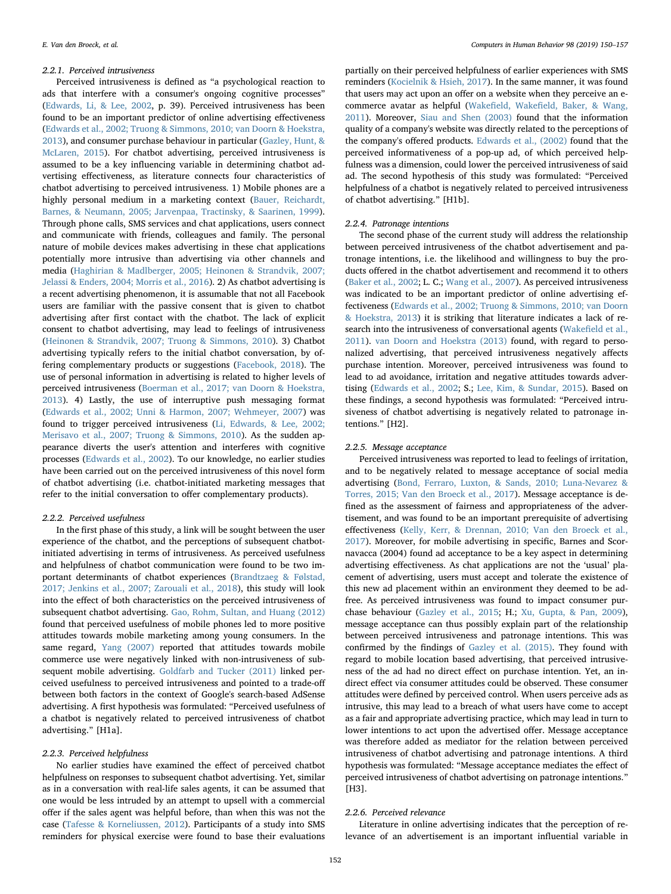#### 2.2.1. Perceived intrusiveness

Perceived intrusiveness is defined as "a psychological reaction to ads that interfere with a consumer's ongoing cognitive processes" ([Edwards, Li, & Lee, 2002,](#page-7-18) p. 39). Perceived intrusiveness has been found to be an important predictor of online advertising effectiveness ([Edwards et al., 2002; Truong & Simmons, 2010; van Doorn & Hoekstra,](#page-7-18) [2013\)](#page-7-18), and consumer purchase behaviour in particular [\(Gazley, Hunt, &](#page-7-19) [McLaren, 2015\)](#page-7-19). For chatbot advertising, perceived intrusiveness is assumed to be a key influencing variable in determining chatbot advertising effectiveness, as literature connects four characteristics of chatbot advertising to perceived intrusiveness. 1) Mobile phones are a highly personal medium in a marketing context [\(Bauer, Reichardt,](#page-7-20) [Barnes, & Neumann, 2005; Jarvenpaa, Tractinsky, & Saarinen, 1999](#page-7-20)). Through phone calls, SMS services and chat applications, users connect and communicate with friends, colleagues and family. The personal nature of mobile devices makes advertising in these chat applications potentially more intrusive than advertising via other channels and media ([Haghirian & Madlberger, 2005; Heinonen & Strandvik, 2007;](#page-7-21) [Jelassi & Enders, 2004; Morris et al., 2016\)](#page-7-21). 2) As chatbot advertising is a recent advertising phenomenon, it is assumable that not all Facebook users are familiar with the passive consent that is given to chatbot advertising after first contact with the chatbot. The lack of explicit consent to chatbot advertising, may lead to feelings of intrusiveness ([Heinonen & Strandvik, 2007; Truong & Simmons, 2010\)](#page-7-22). 3) Chatbot advertising typically refers to the initial chatbot conversation, by offering complementary products or suggestions [\(Facebook, 2018](#page-7-2)). The use of personal information in advertising is related to higher levels of perceived intrusiveness [\(Boerman et al., 2017; van Doorn & Hoekstra,](#page-7-7) [2013\)](#page-7-7). 4) Lastly, the use of interruptive push messaging format ([Edwards et al., 2002; Unni & Harmon, 2007; Wehmeyer, 2007](#page-7-18)) was found to trigger perceived intrusiveness [\(Li, Edwards, & Lee, 2002;](#page-7-23) [Merisavo et al., 2007; Truong & Simmons, 2010](#page-7-23)). As the sudden appearance diverts the user's attention and interferes with cognitive processes [\(Edwards et al., 2002\)](#page-7-18). To our knowledge, no earlier studies have been carried out on the perceived intrusiveness of this novel form of chatbot advertising (i.e. chatbot-initiated marketing messages that refer to the initial conversation to offer complementary products).

# 2.2.2. Perceived usefulness

In the first phase of this study, a link will be sought between the user experience of the chatbot, and the perceptions of subsequent chatbotinitiated advertising in terms of intrusiveness. As perceived usefulness and helpfulness of chatbot communication were found to be two important determinants of chatbot experiences ([Brandtzaeg & Følstad,](#page-7-8) [2017; Jenkins et al., 2007; Zarouali et al., 2018\)](#page-7-8), this study will look into the effect of both characteristics on the perceived intrusiveness of subsequent chatbot advertising. [Gao, Rohm, Sultan, and Huang \(2012\)](#page-7-24) found that perceived usefulness of mobile phones led to more positive attitudes towards mobile marketing among young consumers. In the same regard, [Yang \(2007\)](#page-8-6) reported that attitudes towards mobile commerce use were negatively linked with non-intrusiveness of subsequent mobile advertising. [Goldfarb and Tucker \(2011\)](#page-7-25) linked perceived usefulness to perceived intrusiveness and pointed to a trade-off between both factors in the context of Google's search-based AdSense advertising. A first hypothesis was formulated: "Perceived usefulness of a chatbot is negatively related to perceived intrusiveness of chatbot advertising." [H1a].

## 2.2.3. Perceived helpfulness

No earlier studies have examined the effect of perceived chatbot helpfulness on responses to subsequent chatbot advertising. Yet, similar as in a conversation with real-life sales agents, it can be assumed that one would be less intruded by an attempt to upsell with a commercial offer if the sales agent was helpful before, than when this was not the case [\(Tafesse & Korneliussen, 2012\)](#page-8-7). Participants of a study into SMS reminders for physical exercise were found to base their evaluations

partially on their perceived helpfulness of earlier experiences with SMS reminders [\(Kocielnik & Hsieh, 2017\)](#page-7-26). In the same manner, it was found that users may act upon an offer on a website when they perceive an ecommerce avatar as helpful (Wakefield, Wakefi[eld, Baker, & Wang,](#page-8-8) [2011\)](#page-8-8). Moreover, [Siau and Shen \(2003\)](#page-8-9) found that the information quality of a company's website was directly related to the perceptions of the company's offered products. [Edwards et al., \(2002\)](#page-7-18) found that the perceived informativeness of a pop-up ad, of which perceived helpfulness was a dimension, could lower the perceived intrusiveness of said ad. The second hypothesis of this study was formulated: "Perceived helpfulness of a chatbot is negatively related to perceived intrusiveness of chatbot advertising." [H1b].

### 2.2.4. Patronage intentions

The second phase of the current study will address the relationship between perceived intrusiveness of the chatbot advertisement and patronage intentions, i.e. the likelihood and willingness to buy the products offered in the chatbot advertisement and recommend it to others ([Baker et al., 2002](#page-7-9); L. C.; [Wang et al., 2007\)](#page-8-2). As perceived intrusiveness was indicated to be an important predictor of online advertising effectiveness [\(Edwards et al., 2002; Truong & Simmons, 2010; van Doorn](#page-7-18) [& Hoekstra, 2013](#page-7-18)) it is striking that literature indicates a lack of research into the intrusiveness of conversational agents (Wakefi[eld et al.,](#page-8-8) [2011\)](#page-8-8). [van Doorn and Hoekstra \(2013\)](#page-7-27) found, with regard to personalized advertising, that perceived intrusiveness negatively affects purchase intention. Moreover, perceived intrusiveness was found to lead to ad avoidance, irritation and negative attitudes towards advertising [\(Edwards et al., 2002;](#page-7-18) S.; [Lee, Kim, & Sundar, 2015](#page-7-28)). Based on these findings, a second hypothesis was formulated: "Perceived intrusiveness of chatbot advertising is negatively related to patronage intentions." [H2].

#### 2.2.5. Message acceptance

Perceived intrusiveness was reported to lead to feelings of irritation, and to be negatively related to message acceptance of social media advertising ([Bond, Ferraro, Luxton, & Sands, 2010; Luna-Nevarez &](#page-7-29) [Torres, 2015; Van den Broeck et al., 2017\)](#page-7-29). Message acceptance is defined as the assessment of fairness and appropriateness of the advertisement, and was found to be an important prerequisite of advertising effectiveness [\(Kelly, Kerr, & Drennan, 2010; Van den Broeck et al.,](#page-7-30) [2017\)](#page-7-30). Moreover, for mobile advertising in specific, Barnes and Scornavacca (2004) found ad acceptance to be a key aspect in determining advertising effectiveness. As chat applications are not the 'usual' placement of advertising, users must accept and tolerate the existence of this new ad placement within an environment they deemed to be adfree. As perceived intrusiveness was found to impact consumer purchase behaviour [\(Gazley et al., 2015;](#page-7-19) H.; [Xu, Gupta, & Pan, 2009](#page-8-10)), message acceptance can thus possibly explain part of the relationship between perceived intrusiveness and patronage intentions. This was confirmed by the findings of [Gazley et al. \(2015\)](#page-7-19). They found with regard to mobile location based advertising, that perceived intrusiveness of the ad had no direct effect on purchase intention. Yet, an indirect effect via consumer attitudes could be observed. These consumer attitudes were defined by perceived control. When users perceive ads as intrusive, this may lead to a breach of what users have come to accept as a fair and appropriate advertising practice, which may lead in turn to lower intentions to act upon the advertised offer. Message acceptance was therefore added as mediator for the relation between perceived intrusiveness of chatbot advertising and patronage intentions. A third hypothesis was formulated: "Message acceptance mediates the effect of perceived intrusiveness of chatbot advertising on patronage intentions." [H3].

#### 2.2.6. Perceived relevance

Literature in online advertising indicates that the perception of relevance of an advertisement is an important influential variable in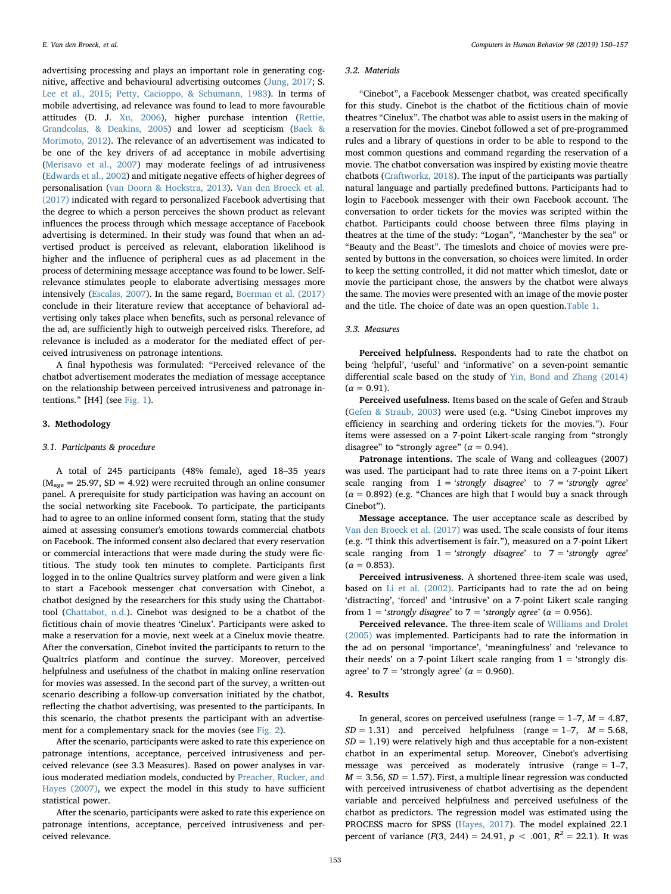advertising processing and plays an important role in generating cognitive, affective and behavioural advertising outcomes [\(Jung, 2017](#page-7-10); S. [Lee et al., 2015; Petty, Cacioppo, & Schumann, 1983\)](#page-7-28). In terms of mobile advertising, ad relevance was found to lead to more favourable attitudes (D. J. [Xu, 2006\)](#page-8-11), higher purchase intention ([Rettie,](#page-8-12) [Grandcolas, & Deakins, 2005](#page-8-12)) and lower ad scepticism ([Baek &](#page-7-31) [Morimoto, 2012\)](#page-7-31). The relevance of an advertisement was indicated to be one of the key drivers of ad acceptance in mobile advertising ([Merisavo et al., 2007\)](#page-7-32) may moderate feelings of ad intrusiveness ([Edwards et al., 2002](#page-7-18)) and mitigate negative effects of higher degrees of personalisation [\(van Doorn & Hoekstra, 2013\)](#page-7-27). [Van den Broeck et al.](#page-8-3) [\(2017\)](#page-8-3) indicated with regard to personalized Facebook advertising that the degree to which a person perceives the shown product as relevant influences the process through which message acceptance of Facebook advertising is determined. In their study was found that when an advertised product is perceived as relevant, elaboration likelihood is higher and the influence of peripheral cues as ad placement in the process of determining message acceptance was found to be lower. Selfrelevance stimulates people to elaborate advertising messages more intensively ([Escalas, 2007\)](#page-7-33). In the same regard, [Boerman et al. \(2017\)](#page-7-7) conclude in their literature review that acceptance of behavioral advertising only takes place when benefits, such as personal relevance of the ad, are sufficiently high to outweigh perceived risks. Therefore, ad relevance is included as a moderator for the mediated effect of perceived intrusiveness on patronage intentions.

A final hypothesis was formulated: "Perceived relevance of the chatbot advertisement moderates the mediation of message acceptance on the relationship between perceived intrusiveness and patronage intentions." [H4] (see [Fig. 1](#page-5-0)).

## 3. Methodology

#### 3.1. Participants & procedure

A total of 245 participants (48% female), aged 18–35 years  $(M<sub>ave</sub> = 25.97, SD = 4.92)$  were recruited through an online consumer panel. A prerequisite for study participation was having an account on the social networking site Facebook. To participate, the participants had to agree to an online informed consent form, stating that the study aimed at assessing consumer's emotions towards commercial chatbots on Facebook. The informed consent also declared that every reservation or commercial interactions that were made during the study were fictitious. The study took ten minutes to complete. Participants first logged in to the online Qualtrics survey platform and were given a link to start a Facebook messenger chat conversation with Cinebot, a chatbot designed by the researchers for this study using the Chattabottool [\(Chattabot, n.d.](#page-7-34)). Cinebot was designed to be a chatbot of the fictitious chain of movie theatres 'Cinelux'. Participants were asked to make a reservation for a movie, next week at a Cinelux movie theatre. After the conversation, Cinebot invited the participants to return to the Qualtrics platform and continue the survey. Moreover, perceived helpfulness and usefulness of the chatbot in making online reservation for movies was assessed. In the second part of the survey, a written-out scenario describing a follow-up conversation initiated by the chatbot, reflecting the chatbot advertising, was presented to the participants. In this scenario, the chatbot presents the participant with an advertisement for a complementary snack for the movies (see [Fig. 2](#page-5-1)).

After the scenario, participants were asked to rate this experience on patronage intentions, acceptance, perceived intrusiveness and perceived relevance (see 3.3 Measures). Based on power analyses in various moderated mediation models, conducted by [Preacher, Rucker, and](#page-8-13) [Hayes \(2007\),](#page-8-13) we expect the model in this study to have sufficient statistical power.

After the scenario, participants were asked to rate this experience on patronage intentions, acceptance, perceived intrusiveness and perceived relevance.

#### 3.2. Materials

"Cinebot", a Facebook Messenger chatbot, was created specifically for this study. Cinebot is the chatbot of the fictitious chain of movie theatres "Cinelux". The chatbot was able to assist users in the making of a reservation for the movies. Cinebot followed a set of pre-programmed rules and a library of questions in order to be able to respond to the most common questions and command regarding the reservation of a movie. The chatbot conversation was inspired by existing movie theatre chatbots [\(Craftworkz, 2018\)](#page-7-35). The input of the participants was partially natural language and partially predefined buttons. Participants had to login to Facebook messenger with their own Facebook account. The conversation to order tickets for the movies was scripted within the chatbot. Participants could choose between three films playing in theatres at the time of the study: "Logan", "Manchester by the sea" or "Beauty and the Beast". The timeslots and choice of movies were presented by buttons in the conversation, so choices were limited. In order to keep the setting controlled, it did not matter which timeslot, date or movie the participant chose, the answers by the chatbot were always the same. The movies were presented with an image of the movie poster and the title. The choice of date was an open question[.Table 1.](#page-5-2)

#### 3.3. Measures

Perceived helpfulness. Respondents had to rate the chatbot on being 'helpful', 'useful' and 'informative' on a seven-point semantic differential scale based on the study of [Yin, Bond and Zhang \(2014\)](#page-8-14)  $(\alpha = 0.91)$ .

Perceived usefulness. Items based on the scale of Gefen and Straub ([Gefen & Straub, 2003\)](#page-7-36) were used (e.g. "Using Cinebot improves my efficiency in searching and ordering tickets for the movies."). Four items were assessed on a 7-point Likert-scale ranging from "strongly disagree" to "strongly agree" ( $\alpha$  = 0.94).

Patronage intentions. The scale of Wang and colleagues (2007) was used. The participant had to rate three items on a 7-point Likert scale ranging from  $1 = 'strongly disagree'$  to  $7 = 'strongly agree'$  $(\alpha = 0.892)$  (e.g. "Chances are high that I would buy a snack through Cinebot").

Message acceptance. The user acceptance scale as described by [Van den Broeck et al. \(2017\)](#page-8-3) was used. The scale consists of four items (e.g. "I think this advertisement is fair."), measured on a 7-point Likert scale ranging from  $1 = 'strongly disagree'$  to  $7 = 'strongly agree'$  $(\alpha = 0.853)$ .

Perceived intrusiveness. A shortened three-item scale was used, based on [Li et al. \(2002\).](#page-7-23) Participants had to rate the ad on being 'distracting', 'forced' and 'intrusive' on a 7-point Likert scale ranging from 1 = 'strongly disagree' to 7 = 'strongly agree' ( $\alpha$  = 0.956).

Perceived relevance. The three-item scale of [Williams and Drolet](#page-8-15) [\(2005\)](#page-8-15) was implemented. Participants had to rate the information in the ad on personal 'importance', 'meaningfulness' and 'relevance to their needs' on a 7-point Likert scale ranging from  $1 =$  'strongly disagree' to  $7 =$  'strongly agree' ( $\alpha = 0.960$ ).

# 4. Results

In general, scores on perceived usefulness (range  $= 1-7$ ,  $M = 4.87$ ,  $SD = 1.31$ ) and perceived helpfulness (range = 1–7,  $M = 5.68$ ,  $SD = 1.19$ ) were relatively high and thus acceptable for a non-existent chatbot in an experimental setup. Moreover, Cinebot's advertising message was perceived as moderately intrusive (range  $= 1-7$ ,  $M = 3.56$ ,  $SD = 1.57$ ). First, a multiple linear regression was conducted with perceived intrusiveness of chatbot advertising as the dependent variable and perceived helpfulness and perceived usefulness of the chatbot as predictors. The regression model was estimated using the PROCESS macro for SPSS [\(Hayes, 2017](#page-7-37)). The model explained 22.1 percent of variance (F(3, 244) = 24.91,  $p < .001$ ,  $R^2 = 22.1$ ). It was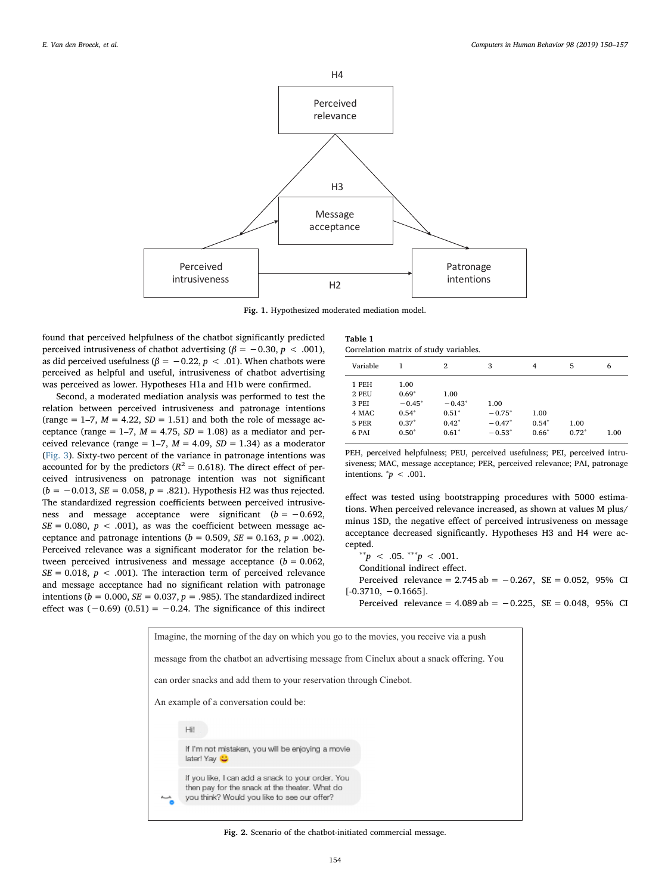<span id="page-5-0"></span>

Fig. 1. Hypothesized moderated mediation model.

found that perceived helpfulness of the chatbot significantly predicted perceived intrusiveness of chatbot advertising ( $\beta = -0.30, p < .001$ ), as did perceived usefulness ( $\beta = -0.22$ ,  $p < .01$ ). When chatbots were perceived as helpful and useful, intrusiveness of chatbot advertising was perceived as lower. Hypotheses H1a and H1b were confirmed.

Second, a moderated mediation analysis was performed to test the relation between perceived intrusiveness and patronage intentions (range = 1–7,  $M = 4.22$ ,  $SD = 1.51$ ) and both the role of message acceptance (range =  $1-7$ ,  $M = 4.75$ ,  $SD = 1.08$ ) as a mediator and perceived relevance (range = 1-7,  $M = 4.09$ ,  $SD = 1.34$ ) as a moderator ([Fig. 3\)](#page-6-0). Sixty-two percent of the variance in patronage intentions was accounted for by the predictors ( $R^2 = 0.618$ ). The direct effect of perceived intrusiveness on patronage intention was not significant  $(b = -0.013, SE = 0.058, p = .821)$ . Hypothesis H2 was thus rejected. The standardized regression coefficients between perceived intrusiveness and message acceptance were significant  $(b = -0.692,$  $SE = 0.080$ ,  $p < .001$ ), as was the coefficient between message acceptance and patronage intentions ( $b = 0.509$ ,  $SE = 0.163$ ,  $p = .002$ ). Perceived relevance was a significant moderator for the relation between perceived intrusiveness and message acceptance  $(b = 0.062,$  $SE = 0.018$ ,  $p < .001$ ). The interaction term of perceived relevance and message acceptance had no significant relation with patronage intentions ( $b = 0.000$ ,  $SE = 0.037$ ,  $p = .985$ ). The standardized indirect effect was  $(-0.69)$   $(0.51) = -0.24$ . The significance of this indirect

<span id="page-5-2"></span>

| Table 1                                |
|----------------------------------------|
| Correlation matrix of study variables. |

| Variable                                           |                                                              | 2                                                 | 3                                        | 4                          | 5               | 6    |
|----------------------------------------------------|--------------------------------------------------------------|---------------------------------------------------|------------------------------------------|----------------------------|-----------------|------|
| 1 PEH<br>2 PEU<br>3 PEI<br>4 MAC<br>5 PER<br>6 PAI | 1.00<br>$0.69*$<br>$-0.45*$<br>$0.54*$<br>$0.37*$<br>$0.50*$ | 1.00<br>$-0.43*$<br>$0.51*$<br>$0.42*$<br>$0.61*$ | 1.00<br>$-0.75*$<br>$-0.47*$<br>$-0.53*$ | 1.00<br>$0.54*$<br>$0.66*$ | 1.00<br>$0.72*$ | 1.00 |

PEH, perceived helpfulness; PEU, perceived usefulness; PEI, perceived intrusiveness; MAC, message acceptance; PER, perceived relevance; PAI, patronage intentions.  $p < .001$ .

effect was tested using bootstrapping procedures with 5000 estimations. When perceived relevance increased, as shown at values M plus/ minus 1SD, the negative effect of perceived intrusiveness on message acceptance decreased significantly. Hypotheses H3 and H4 were accepted.

 $p^*$  < .05. \*\*\*p < .001.

Conditional indirect effect.

Perceived relevance =  $2.745$  ab =  $-0.267$ , SE = 0.052, 95% CI  $[-0.3710, -0.1665]$ .

Perceived relevance =  $4.089$  ab =  $-0.225$ , SE = 0.048, 95% CI

<span id="page-5-1"></span>

|                                        |                                                                    | Imagine, the morning of the day on which you go to the movies, you receive via a push                                                              |  |  |  |  |  |
|----------------------------------------|--------------------------------------------------------------------|----------------------------------------------------------------------------------------------------------------------------------------------------|--|--|--|--|--|
|                                        |                                                                    | message from the chatbot an advertising message from Cinelux about a snack offering. You                                                           |  |  |  |  |  |
|                                        | can order snacks and add them to your reservation through Cinebot. |                                                                                                                                                    |  |  |  |  |  |
| An example of a conversation could be: |                                                                    |                                                                                                                                                    |  |  |  |  |  |
|                                        |                                                                    | Hi!                                                                                                                                                |  |  |  |  |  |
|                                        |                                                                    | If I'm not mistaken, you will be enjoying a movie<br>later! Yay                                                                                    |  |  |  |  |  |
|                                        |                                                                    | If you like, I can add a snack to your order. You<br>then pay for the snack at the theater. What do<br>you think? Would you like to see our offer? |  |  |  |  |  |
|                                        |                                                                    |                                                                                                                                                    |  |  |  |  |  |

Fig. 2. Scenario of the chatbot-initiated commercial message.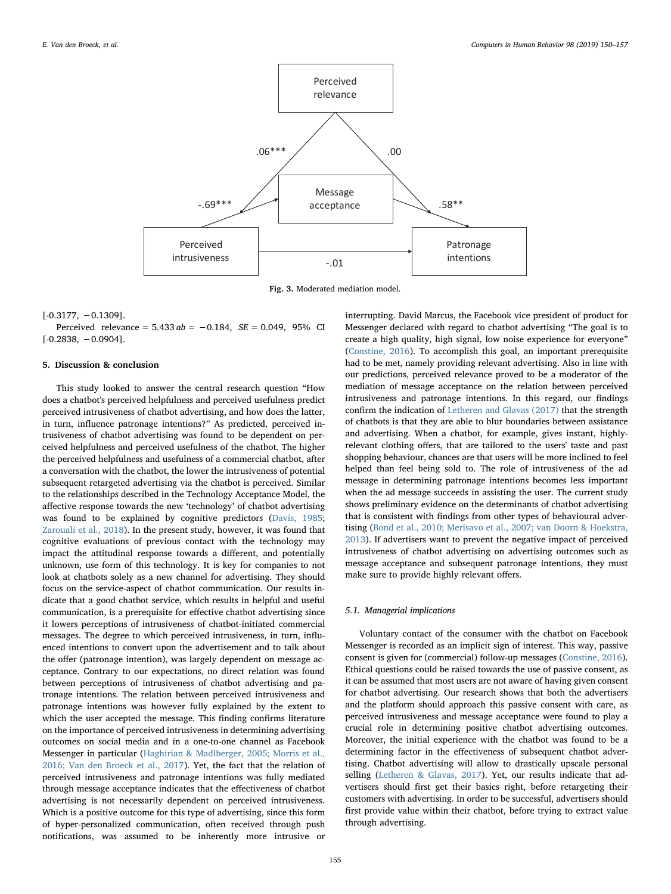<span id="page-6-0"></span>

Fig. 3. Moderated mediation model.

#### $[-0.3177, -0.1309]$ .

Perceived relevance =  $5.433$  ab =  $-0.184$ ,  $SE = 0.049$ , 95% CI  $[-0.2838, -0.0904]$ .

# 5. Discussion & conclusion

This study looked to answer the central research question "How does a chatbot's perceived helpfulness and perceived usefulness predict perceived intrusiveness of chatbot advertising, and how does the latter, in turn, influence patronage intentions?" As predicted, perceived intrusiveness of chatbot advertising was found to be dependent on perceived helpfulness and perceived usefulness of the chatbot. The higher the perceived helpfulness and usefulness of a commercial chatbot, after a conversation with the chatbot, the lower the intrusiveness of potential subsequent retargeted advertising via the chatbot is perceived. Similar to the relationships described in the Technology Acceptance Model, the affective response towards the new 'technology' of chatbot advertising was found to be explained by cognitive predictors ([Davis, 1985](#page-7-38); [Zarouali et al., 2018\)](#page-8-1). In the present study, however, it was found that cognitive evaluations of previous contact with the technology may impact the attitudinal response towards a different, and potentially unknown, use form of this technology. It is key for companies to not look at chatbots solely as a new channel for advertising. They should focus on the service-aspect of chatbot communication. Our results indicate that a good chatbot service, which results in helpful and useful communication, is a prerequisite for effective chatbot advertising since it lowers perceptions of intrusiveness of chatbot-initiated commercial messages. The degree to which perceived intrusiveness, in turn, influenced intentions to convert upon the advertisement and to talk about the offer (patronage intention), was largely dependent on message acceptance. Contrary to our expectations, no direct relation was found between perceptions of intrusiveness of chatbot advertising and patronage intentions. The relation between perceived intrusiveness and patronage intentions was however fully explained by the extent to which the user accepted the message. This finding confirms literature on the importance of perceived intrusiveness in determining advertising outcomes on social media and in a one-to-one channel as Facebook Messenger in particular [\(Haghirian & Madlberger, 2005; Morris et al.,](#page-7-21) [2016; Van den Broeck et al., 2017](#page-7-21)). Yet, the fact that the relation of perceived intrusiveness and patronage intentions was fully mediated through message acceptance indicates that the effectiveness of chatbot advertising is not necessarily dependent on perceived intrusiveness. Which is a positive outcome for this type of advertising, since this form of hyper-personalized communication, often received through push notifications, was assumed to be inherently more intrusive or

interrupting. David Marcus, the Facebook vice president of product for Messenger declared with regard to chatbot advertising "The goal is to create a high quality, high signal, low noise experience for everyone" ([Constine, 2016\)](#page-7-3). To accomplish this goal, an important prerequisite had to be met, namely providing relevant advertising. Also in line with our predictions, perceived relevance proved to be a moderator of the mediation of message acceptance on the relation between perceived intrusiveness and patronage intentions. In this regard, our findings confirm the indication of [Letheren and Glavas \(2017\)](#page-7-4) that the strength of chatbots is that they are able to blur boundaries between assistance and advertising. When a chatbot, for example, gives instant, highlyrelevant clothing offers, that are tailored to the users' taste and past shopping behaviour, chances are that users will be more inclined to feel helped than feel being sold to. The role of intrusiveness of the ad message in determining patronage intentions becomes less important when the ad message succeeds in assisting the user. The current study shows preliminary evidence on the determinants of chatbot advertising that is consistent with findings from other types of behavioural advertising [\(Bond et al., 2010; Merisavo et al., 2007; van Doorn & Hoekstra,](#page-7-29) [2013\)](#page-7-29). If advertisers want to prevent the negative impact of perceived intrusiveness of chatbot advertising on advertising outcomes such as message acceptance and subsequent patronage intentions, they must make sure to provide highly relevant offers.

# 5.1. Managerial implications

Voluntary contact of the consumer with the chatbot on Facebook Messenger is recorded as an implicit sign of interest. This way, passive consent is given for (commercial) follow-up messages ([Constine, 2016](#page-7-3)). Ethical questions could be raised towards the use of passive consent, as it can be assumed that most users are not aware of having given consent for chatbot advertising. Our research shows that both the advertisers and the platform should approach this passive consent with care, as perceived intrusiveness and message acceptance were found to play a crucial role in determining positive chatbot advertising outcomes. Moreover, the initial experience with the chatbot was found to be a determining factor in the effectiveness of subsequent chatbot advertising. Chatbot advertising will allow to drastically upscale personal selling [\(Letheren & Glavas, 2017\)](#page-7-4). Yet, our results indicate that advertisers should first get their basics right, before retargeting their customers with advertising. In order to be successful, advertisers should first provide value within their chatbot, before trying to extract value through advertising.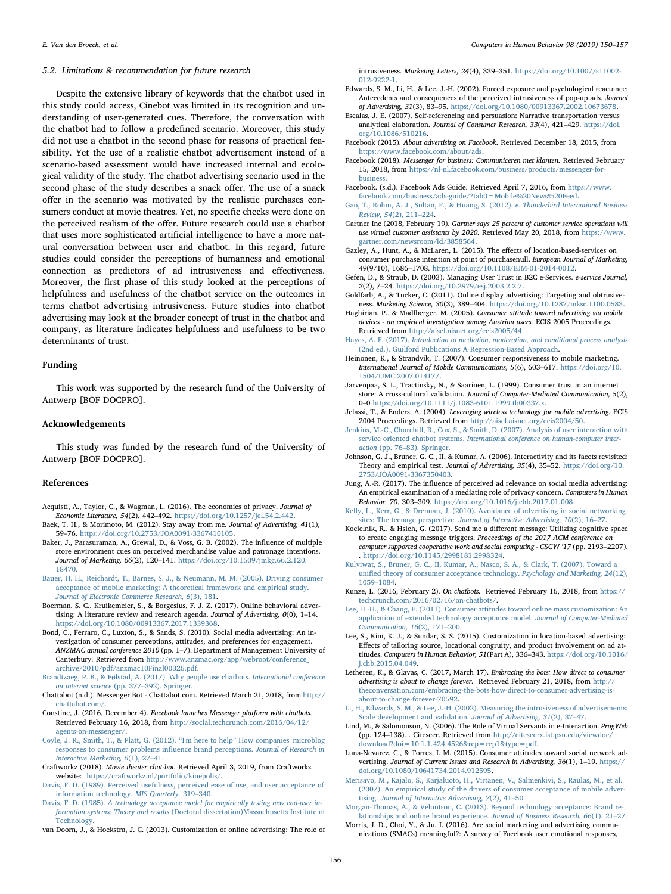#### 5.2. Limitations & recommendation for future research

Despite the extensive library of keywords that the chatbot used in this study could access, Cinebot was limited in its recognition and understanding of user-generated cues. Therefore, the conversation with the chatbot had to follow a predefined scenario. Moreover, this study did not use a chatbot in the second phase for reasons of practical feasibility. Yet the use of a realistic chatbot advertisement instead of a scenario-based assessment would have increased internal and ecological validity of the study. The chatbot advertising scenario used in the second phase of the study describes a snack offer. The use of a snack offer in the scenario was motivated by the realistic purchases consumers conduct at movie theatres. Yet, no specific checks were done on the perceived realism of the offer. Future research could use a chatbot that uses more sophisticated artificial intelligence to have a more natural conversation between user and chatbot. In this regard, future studies could consider the perceptions of humanness and emotional connection as predictors of ad intrusiveness and effectiveness. Moreover, the first phase of this study looked at the perceptions of helpfulness and usefulness of the chatbot service on the outcomes in terms chatbot advertising intrusiveness. Future studies into chatbot advertising may look at the broader concept of trust in the chatbot and company, as literature indicates helpfulness and usefulness to be two determinants of trust.

#### Funding

This work was supported by the research fund of the University of Antwerp [BOF DOCPRO].

### Acknowledgements

This study was funded by the research fund of the University of Antwerp [BOF DOCPRO].

#### References

- <span id="page-7-0"></span>Acquisti, A., Taylor, C., & Wagman, L. (2016). The economics of privacy. Journal of Economic Literature, 54(2), 442–492. [https://doi.org/10.1257/jel.54.2.442.](https://doi.org/10.1257/jel.54.2.442)
- <span id="page-7-31"></span>Baek, T. H., & Morimoto, M. (2012). Stay away from me. Journal of Advertising, 41(1), 59–76. <https://doi.org/10.2753/JOA0091-3367410105>.
- <span id="page-7-9"></span>Baker, J., Parasuraman, A., Grewal, D., & Voss, G. B. (2002). The influence of multiple store environment cues on perceived merchandise value and patronage intentions. Journal of Marketing, 66(2), 120–141. [https://doi.org/10.1509/jmkg.66.2.120.](https://doi.org/10.1509/jmkg.66.2.120.18470) [18470.](https://doi.org/10.1509/jmkg.66.2.120.18470)
- <span id="page-7-20"></span>[Bauer, H. H., Reichardt, T., Barnes, S. J., & Neumann, M. M. \(2005\). Driving consumer](http://refhub.elsevier.com/S0747-5632(19)30149-9/sref4) [acceptance of mobile marketing: A theoretical framework and empirical study.](http://refhub.elsevier.com/S0747-5632(19)30149-9/sref4) [Journal of Electronic Commerce Research, 6](http://refhub.elsevier.com/S0747-5632(19)30149-9/sref4)(3), 181.
- <span id="page-7-7"></span>Boerman, S. C., Kruikemeier, S., & Borgesius, F. J. Z. (2017). Online behavioral advertising: A literature review and research agenda. Journal of Advertising, 0(0), 1–14. <https://doi.org/10.1080/00913367.2017.1339368>.
- <span id="page-7-29"></span>Bond, C., Ferraro, C., Luxton, S., & Sands, S. (2010). Social media advertising: An investigation of consumer perceptions, attitudes, and preferences for engagement. ANZMAC annual conference 2010 (pp. 1–7). Department of Management University of Canterbury. Retrieved from [http://www.anzmac.org/app/webroot/conference\\_](http://www.anzmac.org/app/webroot/conference_archive/2010/pdf/anzmac10Final00326.pdf) [archive/2010/pdf/anzmac10Final00326.pdf](http://www.anzmac.org/app/webroot/conference_archive/2010/pdf/anzmac10Final00326.pdf).
- <span id="page-7-8"></span>[Brandtzaeg, P. B., & Følstad, A. \(2017\). Why people use chatbots.](http://refhub.elsevier.com/S0747-5632(19)30149-9/sref7) International conference [on internet science](http://refhub.elsevier.com/S0747-5632(19)30149-9/sref7) (pp. 377–392). Springer.
- <span id="page-7-34"></span>Chattabot (n.d.). Messenger Bot - Chattabot.com. Retrieved March 21, 2018, from [http://](http://chattabot.com/) [chattabot.com/.](http://chattabot.com/)
- <span id="page-7-3"></span>Constine, J. (2016, December 4). Facebook launches Messenger platform with chatbots. Retrieved February 16, 2018, from [http://social.techcrunch.com/2016/04/12/](http://social.techcrunch.com/2016/04/12/agents-on-messenger/) [agents-on-messenger/](http://social.techcrunch.com/2016/04/12/agents-on-messenger/).
- <span id="page-7-17"></span>[Coyle, J. R., Smith, T., & Platt, G. \(2012\).](http://refhub.elsevier.com/S0747-5632(19)30149-9/sref10) "I'm here to help" How companies' microblog [responses to consumer problems in](http://refhub.elsevier.com/S0747-5632(19)30149-9/sref10)fluence brand perceptions. Journal of Research in [Interactive Marketing, 6](http://refhub.elsevier.com/S0747-5632(19)30149-9/sref10)(1), 27–41.
- <span id="page-7-35"></span>Craftworkz (2018). Movie theater chat-bot. Retrieved April 3, 2019, from Craftworkz website: <https://craftworkz.nl/portfolio/kinepolis/>.
- <span id="page-7-13"></span>[Davis, F. D. \(1989\). Perceived usefulness, perceived ease of use, and user acceptance of](http://refhub.elsevier.com/S0747-5632(19)30149-9/sref12) [information technology.](http://refhub.elsevier.com/S0747-5632(19)30149-9/sref12) MIS Quarterly, 319–340.
- <span id="page-7-38"></span>Davis, F. D. (1985). [A technology acceptance model for empirically testing new end-user in](http://refhub.elsevier.com/S0747-5632(19)30149-9/sref68)formation systems: Theory and results [\(Doctoral dissertation\)Massachusetts Institute of](http://refhub.elsevier.com/S0747-5632(19)30149-9/sref68) .<br>[Technology](http://refhub.elsevier.com/S0747-5632(19)30149-9/sref68).

<span id="page-7-27"></span>van Doorn, J., & Hoekstra, J. C. (2013). Customization of online advertising: The role of

intrusiveness. Marketing Letters, 24(4), 339–351. [https://doi.org/10.1007/s11002-](https://doi.org/10.1007/s11002-012-9222-1) [012-9222-1](https://doi.org/10.1007/s11002-012-9222-1).

- <span id="page-7-18"></span>Edwards, S. M., Li, H., & Lee, J.-H. (2002). Forced exposure and psychological reactance: Antecedents and consequences of the perceived intrusiveness of pop-up ads. Journal of Advertising, 31(3), 83–95. <https://doi.org/10.1080/00913367.2002.10673678>.
- <span id="page-7-33"></span>Escalas, J. E. (2007). Self-referencing and persuasion: Narrative transportation versus analytical elaboration. Journal of Consumer Research, 33(4), 421–429. [https://doi.](https://doi.org/10.1086/510216) [org/10.1086/510216.](https://doi.org/10.1086/510216)
- Facebook (2015). About advertising on Facebook. Retrieved December 18, 2015, from <https://www.facebook.com/about/ads>.

<span id="page-7-2"></span>Facebook (2018). Messenger for business: Communiceren met klanten. Retrieved February 15, 2018, from [https://nl-nl.facebook.com/business/products/messenger-for](https://nl-nl.facebook.com/business/products/messenger-for-business)busines:

- <span id="page-7-1"></span>Facebook. (s.d.). Facebook Ads Guide. Retrieved April 7, 2016, from [https://www.](https://www.facebook.com/business/ads-guide/?tab0=Mobile%20News%20Feed) [facebook.com/business/ads-guide/?tab0=Mobile%20News%20Feed.](https://www.facebook.com/business/ads-guide/?tab0=Mobile%20News%20Feed)
- <span id="page-7-24"></span>[Gao, T., Rohm, A. J., Sultan, F., & Huang, S. \(2012\).](http://refhub.elsevier.com/S0747-5632(19)30149-9/sref19) e. Thunderbird International Business [Review, 54](http://refhub.elsevier.com/S0747-5632(19)30149-9/sref19)(2), 211–224.
- <span id="page-7-5"></span>Gartner Inc (2018, February 19). Gartner says 25 percent of customer service operations will use virtual customer assistants by 2020. Retrieved May 20, 2018, from [https://www.](https://www.gartner.com/newsroom/id/3858564) [gartner.com/newsroom/id/3858564.](https://www.gartner.com/newsroom/id/3858564)
- <span id="page-7-19"></span>Gazley, A., Hunt, A., & McLaren, L. (2015). The effects of location-based-services on consumer purchase intention at point of purchasenull. European Journal of Marketing, 49(9/10), 1686–1708. <https://doi.org/10.1108/EJM-01-2014-0012>.
- <span id="page-7-36"></span>Gefen, D., & Straub, D. (2003). Managing User Trust in B2C e-Services. e-service Journal, 2(2), 7–24. [https://doi.org/10.2979/esj.2003.2.2.7.](https://doi.org/10.2979/esj.2003.2.2.7)
- <span id="page-7-25"></span>Goldfarb, A., & Tucker, C. (2011). Online display advertising: Targeting and obtrusiveness. Marketing Science, 30(3), 389–404. <https://doi.org/10.1287/mksc.1100.0583>.
- <span id="page-7-21"></span>Haghirian, P., & Madlberger, M. (2005). Consumer attitude toward advertising via mobile devices - an empirical investigation among Austrian users. ECIS 2005 Proceedings. Retrieved from [http://aisel.aisnet.org/ecis2005/44.](http://aisel.aisnet.org/ecis2005/44)
- <span id="page-7-37"></span>Hayes, A. F. (2017). [Introduction to mediation, moderation, and conditional process analysis](http://refhub.elsevier.com/S0747-5632(19)30149-9/sref25) [\(2nd ed.\). Guilford Publications A Regression-Based Approach.](http://refhub.elsevier.com/S0747-5632(19)30149-9/sref25)
- <span id="page-7-22"></span>Heinonen, K., & Strandvik, T. (2007). Consumer responsiveness to mobile marketing. International Journal of Mobile Communications, 5(6), 603–617. [https://doi.org/10.](https://doi.org/10.1504/IJMC.2007.014177) [1504/IJMC.2007.014177](https://doi.org/10.1504/IJMC.2007.014177).
- Jarvenpaa, S. L., Tractinsky, N., & Saarinen, L. (1999). Consumer trust in an internet store: A cross-cultural validation. Journal of Computer-Mediated Communication, 5(2), 0–0 [https://doi.org/10.1111/j.1083-6101.1999.tb00337.x.](https://doi.org/10.1111/j.1083-6101.1999.tb00337.x)
- Jelassi, T., & Enders, A. (2004). Leveraging wireless technology for mobile advertising. ECIS 2004 Proceedings. Retrieved from [http://aisel.aisnet.org/ecis2004/50.](http://aisel.aisnet.org/ecis2004/50)
- <span id="page-7-15"></span>[Jenkins, M.-C., Churchill, R., Cox, S., & Smith, D. \(2007\). Analysis of user interaction with](http://refhub.elsevier.com/S0747-5632(19)30149-9/sref29) service oriented chatbot systems. [International conference on human-computer inter](http://refhub.elsevier.com/S0747-5632(19)30149-9/sref29)action (pp. 76–[83\). Springer](http://refhub.elsevier.com/S0747-5632(19)30149-9/sref29).
- <span id="page-7-16"></span>Johnson, G. J., Bruner, G. C., II, & Kumar, A. (2006). Interactivity and its facets revisited: Theory and empirical test. Journal of Advertising, 35(4), 35–52. [https://doi.org/10.](https://doi.org/10.2753/JOA0091-3367350403) [2753/JOA0091-3367350403](https://doi.org/10.2753/JOA0091-3367350403).
- <span id="page-7-10"></span>Jung, A.-R. (2017). The influence of perceived ad relevance on social media advertising: An empirical examination of a mediating role of privacy concern. Computers in Human Behavior, 70, 303–309. [https://doi.org/10.1016/j.chb.2017.01.008.](https://doi.org/10.1016/j.chb.2017.01.008)
- <span id="page-7-30"></span>[Kelly, L., Kerr, G., & Drennan, J. \(2010\). Avoidance of advertising in social networking](http://refhub.elsevier.com/S0747-5632(19)30149-9/sref31) sites: The teenage perspective. [Journal of Interactive Advertising, 10](http://refhub.elsevier.com/S0747-5632(19)30149-9/sref31)(2), 16–27.
- <span id="page-7-26"></span>Kocielnik, R., & Hsieh, G. (2017). Send me a different message: Utilizing cognitive space to create engaging message triggers. Proceedings of the 2017 ACM conference on computer supported cooperative work and social computing - CSCW '17 (pp. 2193–2207). . <https://doi.org/10.1145/2998181.2998324>.
- <span id="page-7-12"></span>[Kulviwat, S., Bruner, G. C., II, Kumar, A., Nasco, S. A., & Clark, T. \(2007\). Toward a](http://refhub.elsevier.com/S0747-5632(19)30149-9/sref33) unifi[ed theory of consumer acceptance technology.](http://refhub.elsevier.com/S0747-5632(19)30149-9/sref33) Psychology and Marketing, 24(12), 1059–[1084](http://refhub.elsevier.com/S0747-5632(19)30149-9/sref33).
- <span id="page-7-6"></span>Kunze, L. (2016, February 2). On chatbots. Retrieved February 16, 2018, from [https://](https://techcrunch.com/2016/02/16/on-chatbots/) [techcrunch.com/2016/02/16/on-chatbots/.](https://techcrunch.com/2016/02/16/on-chatbots/)
- <span id="page-7-14"></span>[Lee, H.-H., & Chang, E. \(2011\). Consumer attitudes toward online mass customization: An](http://refhub.elsevier.com/S0747-5632(19)30149-9/sref35) [application of extended technology acceptance model.](http://refhub.elsevier.com/S0747-5632(19)30149-9/sref35) Journal of Computer-Mediated [Communication, 16](http://refhub.elsevier.com/S0747-5632(19)30149-9/sref35)(2), 171–200.
- <span id="page-7-28"></span>Lee, S., Kim, K. J., & Sundar, S. S. (2015). Customization in location-based advertising: Effects of tailoring source, locational congruity, and product involvement on ad attitudes. Computers in Human Behavior, 51(Part A), 336–343. [https://doi.org/10.1016/](https://doi.org/10.1016/j.chb.2015.04.049) [j.chb.2015.04.049](https://doi.org/10.1016/j.chb.2015.04.049).
- <span id="page-7-4"></span>Letheren, K., & Glavas, C. (2017, March 17). Embracing the bots: How direct to consumer advertising is about to change forever. Retrieved February 21, 2018, from [http://](http://theconversation.com/embracing-the-bots-how-direct-to-consumer-advertising-is-about-to-change-forever-70592) [theconversation.com/embracing-the-bots-how-direct-to-consumer-advertising-is](http://theconversation.com/embracing-the-bots-how-direct-to-consumer-advertising-is-about-to-change-forever-70592)[about-to-change-forever-70592](http://theconversation.com/embracing-the-bots-how-direct-to-consumer-advertising-is-about-to-change-forever-70592).
- <span id="page-7-23"></span>[Li, H., Edwards, S. M., & Lee, J.-H. \(2002\). Measuring the intrusiveness of advertisements:](http://refhub.elsevier.com/S0747-5632(19)30149-9/sref38) [Scale development and validation.](http://refhub.elsevier.com/S0747-5632(19)30149-9/sref38) Journal of Advertising, 31(2), 37–47.
- <span id="page-7-11"></span>Lind, M., & Salomonson, N. (2006). The Role of Virtual Servants in e-Interaction. PragWeb (pp. 124–138). . Citeseer. Retrieved from [http://citeseerx.ist.psu.edu/viewdoc/](http://citeseerx.ist.psu.edu/viewdoc/download?doi=10.1.1.424.4526&rep=rep1&type=pdf) [download?doi=10.1.1.424.4526&rep=rep1&type=pdf.](http://citeseerx.ist.psu.edu/viewdoc/download?doi=10.1.1.424.4526&rep=rep1&type=pdf)
- Luna-Nevarez, C., & Torres, I. M. (2015). Consumer attitudes toward social network advertising. Journal of Current Issues and Research in Advertising, 36(1), 1-19. [https://](https://doi.org/10.1080/10641734.2014.912595) [doi.org/10.1080/10641734.2014.912595](https://doi.org/10.1080/10641734.2014.912595).
- <span id="page-7-32"></span>[Merisavo, M., Kajalo, S., Karjaluoto, H., Virtanen, V., Salmenkivi, S., Raulas, M., et al.](http://refhub.elsevier.com/S0747-5632(19)30149-9/sref41) [\(2007\). An empirical study of the drivers of consumer acceptance of mobile adver](http://refhub.elsevier.com/S0747-5632(19)30149-9/sref41)tising. [Journal of Interactive Advertising, 7](http://refhub.elsevier.com/S0747-5632(19)30149-9/sref41)(2), 41–50.
- [Morgan-Thomas, A., & Veloutsou, C. \(2013\). Beyond technology acceptance: Brand re](http://refhub.elsevier.com/S0747-5632(19)30149-9/sref42)[lationships and online brand experience.](http://refhub.elsevier.com/S0747-5632(19)30149-9/sref42) Journal of Business Research, 66(1), 21–27.
- Morris, J. D., Choi, Y., & Ju, I. (2016). Are social marketing and advertising communications (SMACs) meaningful?: A survey of Facebook user emotional responses,